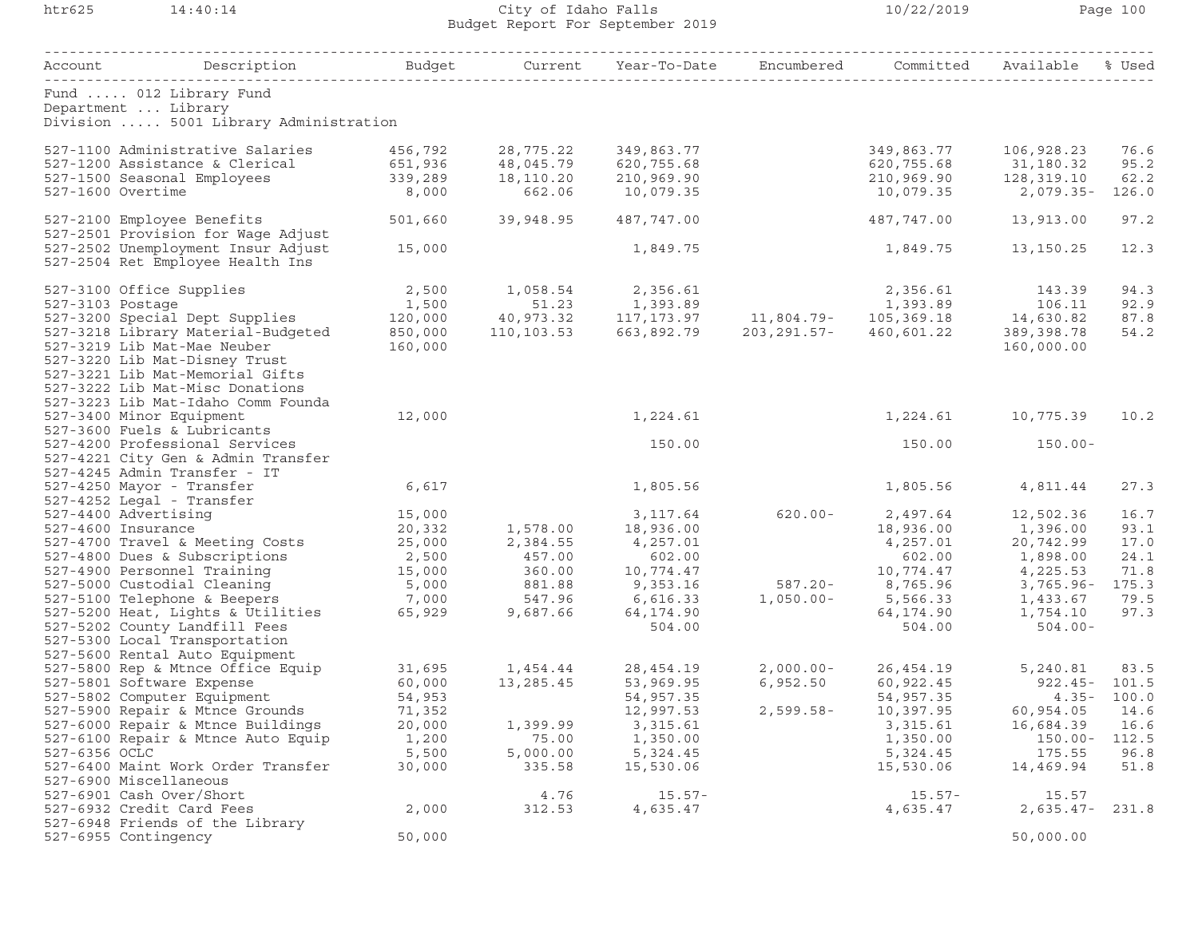## htr625 14:40:14 City of Idaho Falls 10/22/2019 Page 100 Budget Report For September 2019

| Account Description                                                                    |         |                   | Budget     Current Year-To-Date Encumbered Committed Available % Used |              |                     |                |                  |
|----------------------------------------------------------------------------------------|---------|-------------------|-----------------------------------------------------------------------|--------------|---------------------|----------------|------------------|
| Fund  012 Library Fund<br>Department  Library<br>Division  5001 Library Administration |         |                   |                                                                       |              |                     |                |                  |
| 527-1100 Administrative Salaries                                                       | 456,792 | 28,775.22         | 349,863.77                                                            |              | 349,863.77          | 106,928.23     | 76.6             |
| 527-1200 Assistance & Clerical                                                         | 651,936 | 48,045.79         | 620,755.68                                                            |              | 620,755.68          | 31,180.32      | 95.2             |
| 527-1500 Seasonal Employees                                                            | 339,289 | 18,110.20         | 210,969.90                                                            |              | 210,969.90          | 128,319.10     | 62.2             |
| 527-1600 Overtime                                                                      | 8,000   | 662.06            | 10,079.35                                                             |              | 10,079.35           | $2,079.35-$    | 126.0            |
| 527-2100 Employee Benefits<br>527-2501 Provision for Wage Adjust                       | 501,660 | 39,948.95         | 487,747.00                                                            |              | 487,747.00          | 13,913.00      | 97.2             |
| 527-2502 Unemployment Insur Adjust<br>527-2504 Ret Employee Health Ins                 | 15,000  |                   | 1,849.75                                                              |              | 1,849.75            | 13,150.25      | 12.3             |
| 527-3100 Office Supplies                                                               | 2,500   | 1,058.54 2,356.61 |                                                                       |              | 2,356.61            | 143.39         | 94.3             |
| 527-3103 Postage                                                                       | 1,500   | 51.23             |                                                                       |              |                     |                | 92.9             |
| 527-3200 Special Dept Supplies                                                         | 120,000 |                   |                                                                       |              |                     |                | 87.8             |
| 527-3218 Library Material-Budgeted                                                     | 850,000 | 110,103.53        | 663,892.79 203,291.57-                                                |              | 460,601.22          | 389,398.78     | 54.2             |
| 527-3219 Lib Mat-Mae Neuber                                                            | 160,000 |                   |                                                                       |              |                     | 160,000.00     |                  |
| 527-3220 Lib Mat-Disney Trust                                                          |         |                   |                                                                       |              |                     |                |                  |
| 527-3221 Lib Mat-Memorial Gifts<br>527-3222 Lib Mat-Misc Donations                     |         |                   |                                                                       |              |                     |                |                  |
|                                                                                        |         |                   |                                                                       |              |                     |                |                  |
| 527-3223 Lib Mat-Idaho Comm Founda<br>527-3400 Minor Equipment                         | 12,000  |                   | 1,224.61                                                              |              | 1,224.61            | 10,775.39      | 10.2             |
| 527-3600 Fuels & Lubricants                                                            |         |                   |                                                                       |              |                     |                |                  |
| 527-4200 Professional Services                                                         |         |                   | 150.00                                                                |              | 150.00              | $150.00 -$     |                  |
| 527-4221 City Gen & Admin Transfer                                                     |         |                   |                                                                       |              |                     |                |                  |
| 527-4245 Admin Transfer - IT                                                           |         |                   |                                                                       |              |                     |                |                  |
| 527-4250 Mayor - Transfer                                                              | 6,617   |                   | 1,805.56                                                              |              | 1,805.56            | 4,811.44       | 27.3             |
| 527-4252 Legal - Transfer                                                              |         |                   |                                                                       |              |                     |                |                  |
| 527-4400 Advertising                                                                   | 15,000  |                   | 3,117.64                                                              | $620.00 -$   | 2,497.64            | 12,502.36      | 16.7             |
| 527-4600 Insurance                                                                     | 20,332  | 1,578.00          | 18,936.00                                                             |              | 18,936.00           | 1,396.00       | 93.1             |
| 527-4700 Travel & Meeting Costs                                                        | 25,000  | 2,384.55          | 4,257.01                                                              |              | 4,257.01            | 20,742.99      | 17.0             |
| 527-4800 Dues & Subscriptions                                                          | 2,500   | 457.00            | 602.00                                                                |              | 602.00              | 1,898.00       | 24.1             |
| 527-4900 Personnel Training                                                            | 15,000  | 360.00            | 10,774.47                                                             |              | 10,774.47           | 4,225.53       | 71.8             |
| 527-5000 Custodial Cleaning                                                            | 5,000   | 881.88            | 9,353.16                                                              | $587.20 -$   | 8,765.96            | $3,765.96 -$   | 175.3            |
| 527-5100 Telephone & Beepers                                                           | 7,000   | 547.96            | 6,616.33                                                              | $1,050.00 -$ | 5,566.33            | 1,433.67       | 79.5             |
| 527-5200 Heat, Lights & Utilities                                                      | 65,929  | 9,687.66          | 64,174.90                                                             |              | 64,174.90           | 1,754.10       | 97.3             |
| 527-5202 County Landfill Fees<br>527-5300 Local Transportation                         |         |                   | 504.00                                                                |              | 504.00              | $504.00 -$     |                  |
| 527-5600 Rental Auto Equipment                                                         |         |                   |                                                                       |              |                     |                |                  |
| 527-5800 Rep & Mtnce Office Equip                                                      |         |                   |                                                                       | 2,000.00-    | 26,454.19           | 5,240.81       | 83.5             |
| 527-5801 Software Expense                                                              |         |                   |                                                                       | 6,952.50     | 60,922.45           |                | $922.45 - 101.5$ |
| 527-5802 Computer Equipment                                                            | 54,953  |                   | 54,957.35                                                             |              | 54,957.35           |                | $4.35 - 100.0$   |
| 527-5900 Repair & Mtnce Grounds                                                        | 71,352  |                   | 12,997.53                                                             |              | 2,599.58- 10,397.95 | 60,954.05 14.6 |                  |
| 527-6000 Repair & Mtnce Buildings                                                      | 20,000  | 1,399.99          | 3, 315.61                                                             |              | 3,315.61            | 16,684.39      | 16.6             |
| 527-6100 Repair & Mtnce Auto Equip                                                     | 1,200   | 75.00             | 1,350.00                                                              |              | 1,350.00            | $150.00 -$     | 112.5            |
| 527-6356 OCLC                                                                          | 5,500   | 5,000.00          | 5,324.45                                                              |              | 5,324.45            | 175.55         | 96.8             |
| 527-6400 Maint Work Order Transfer                                                     | 30,000  | 335.58            | 15,530.06                                                             |              | 15,530.06           | 14,469.94      | 51.8             |
| 527-6900 Miscellaneous                                                                 |         |                   |                                                                       |              |                     |                |                  |
| 527-6901 Cash Over/Short                                                               |         | 4.76              | $15.57 -$                                                             |              | $15.57 -$           | 15.57          |                  |
| 527-6932 Credit Card Fees                                                              | 2,000   | 312.53            | 4,635.47                                                              |              | 4,635.47            | $2,635.47-$    | 231.8            |
| 527-6948 Friends of the Library                                                        |         |                   |                                                                       |              |                     |                |                  |
| 527-6955 Contingency                                                                   | 50,000  |                   |                                                                       |              |                     | 50,000.00      |                  |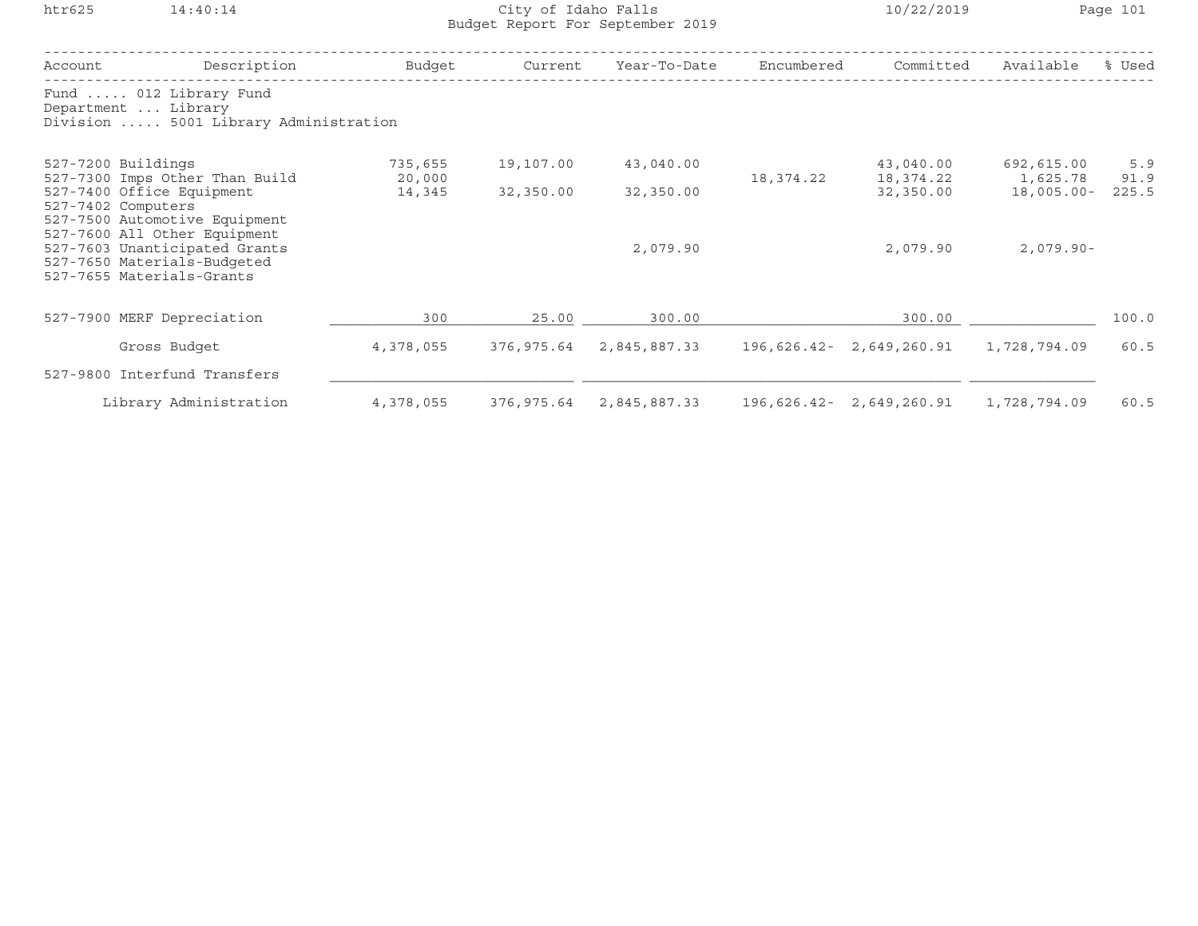## htr625 14:40:14 City of Idaho Falls 10/22/2019 Page 101 Budget Report For September 2019

| Account                                              | Description                                                                                                      | Budget    | Current    | Year-To-Date | Encumbered             | Committed                | Available     | % Used |
|------------------------------------------------------|------------------------------------------------------------------------------------------------------------------|-----------|------------|--------------|------------------------|--------------------------|---------------|--------|
|                                                      | Fund  012 Library Fund<br>Department  Library<br>Division  5001 Library Administration                           |           |            |              |                        |                          |               |        |
| 527-7200 Buildings<br>527-7300 Imps Other Than Build | 735,655<br>20,000                                                                                                | 19,107.00 | 43,040.00  | 18,374.22    | 43,040.00<br>18,374.22 | 692,615.00<br>1,625.78   | 5.9<br>91.9   |        |
|                                                      | 527-7400 Office Equipment<br>527-7402 Computers<br>527-7500 Automotive Equipment<br>527-7600 All Other Equipment | 14,345    | 32,350.00  | 32,350.00    |                        | 32,350.00                | $18,005.00 -$ | 225.5  |
|                                                      | 527-7603 Unanticipated Grants<br>527-7650 Materials-Budgeted<br>527-7655 Materials-Grants                        |           |            | 2,079.90     |                        | 2,079.90                 | $2,079.90 -$  |        |
|                                                      | 527-7900 MERF Depreciation                                                                                       | 300       | 25.00      | 300.00       |                        | 300.00                   |               | 100.0  |
|                                                      | Gross Budget                                                                                                     | 4,378,055 | 376,975.64 | 2,845,887.33 | 196,626.42-            | 2,649,260.91             | 1,728,794.09  | 60.5   |
|                                                      | 527-9800 Interfund Transfers                                                                                     |           |            |              |                        |                          |               |        |
|                                                      | Library Administration                                                                                           | 4,378,055 | 376,975.64 | 2,845,887.33 |                        | 196,626.42- 2,649,260.91 | 1,728,794.09  | 60.5   |